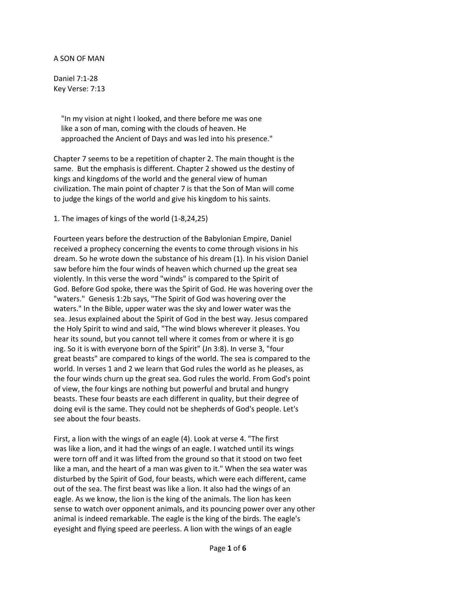A SON OF MAN

Daniel 7:1-28 Key Verse: 7:13

> "In my vision at night I looked, and there before me was one like a son of man, coming with the clouds of heaven. He approached the Ancient of Days and was led into his presence."

Chapter 7 seems to be a repetition of chapter 2. The main thought is the same. But the emphasis is different. Chapter 2 showed us the destiny of kings and kingdoms of the world and the general view of human civilization. The main point of chapter 7 is that the Son of Man will come to judge the kings of the world and give his kingdom to his saints.

1. The images of kings of the world (1-8,24,25)

Fourteen years before the destruction of the Babylonian Empire, Daniel received a prophecy concerning the events to come through visions in his dream. So he wrote down the substance of his dream (1). In his vision Daniel saw before him the four winds of heaven which churned up the great sea violently. In this verse the word "winds" is compared to the Spirit of God. Before God spoke, there was the Spirit of God. He was hovering over the "waters." Genesis 1:2b says, "The Spirit of God was hovering over the waters." In the Bible, upper water was the sky and lower water was the sea. Jesus explained about the Spirit of God in the best way. Jesus compared the Holy Spirit to wind and said, "The wind blows wherever it pleases. You hear its sound, but you cannot tell where it comes from or where it is go ing. So it is with everyone born of the Spirit" (Jn 3:8). In verse 3, "four great beasts" are compared to kings of the world. The sea is compared to the world. In verses 1 and 2 we learn that God rules the world as he pleases, as the four winds churn up the great sea. God rules the world. From God's point of view, the four kings are nothing but powerful and brutal and hungry beasts. These four beasts are each different in quality, but their degree of doing evil is the same. They could not be shepherds of God's people. Let's see about the four beasts.

First, a lion with the wings of an eagle (4). Look at verse 4. "The first was like a lion, and it had the wings of an eagle. I watched until its wings were torn off and it was lifted from the ground so that it stood on two feet like a man, and the heart of a man was given to it." When the sea water was disturbed by the Spirit of God, four beasts, which were each different, came out of the sea. The first beast was like a lion. It also had the wings of an eagle. As we know, the lion is the king of the animals. The lion has keen sense to watch over opponent animals, and its pouncing power over any other animal is indeed remarkable. The eagle is the king of the birds. The eagle's eyesight and flying speed are peerless. A lion with the wings of an eagle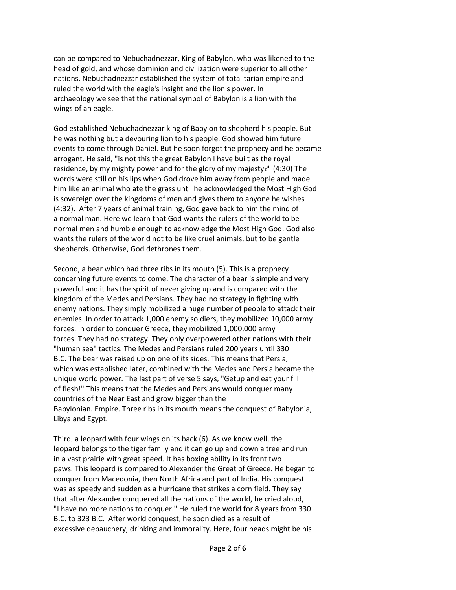can be compared to Nebuchadnezzar, King of Babylon, who was likened to the head of gold, and whose dominion and civilization were superior to all other nations. Nebuchadnezzar established the system of totalitarian empire and ruled the world with the eagle's insight and the lion's power. In archaeology we see that the national symbol of Babylon is a lion with the wings of an eagle.

God established Nebuchadnezzar king of Babylon to shepherd his people. But he was nothing but a devouring lion to his people. God showed him future events to come through Daniel. But he soon forgot the prophecy and he became arrogant. He said, "is not this the great Babylon I have built as the royal residence, by my mighty power and for the glory of my majesty?" (4:30) The words were still on his lips when God drove him away from people and made him like an animal who ate the grass until he acknowledged the Most High God is sovereign over the kingdoms of men and gives them to anyone he wishes (4:32). After 7 years of animal training, God gave back to him the mind of a normal man. Here we learn that God wants the rulers of the world to be normal men and humble enough to acknowledge the Most High God. God also wants the rulers of the world not to be like cruel animals, but to be gentle shepherds. Otherwise, God dethrones them.

Second, a bear which had three ribs in its mouth (5). This is a prophecy concerning future events to come. The character of a bear is simple and very powerful and it has the spirit of never giving up and is compared with the kingdom of the Medes and Persians. They had no strategy in fighting with enemy nations. They simply mobilized a huge number of people to attack their enemies. In order to attack 1,000 enemy soldiers, they mobilized 10,000 army forces. In order to conquer Greece, they mobilized 1,000,000 army forces. They had no strategy. They only overpowered other nations with their "human sea" tactics. The Medes and Persians ruled 200 years until 330 B.C. The bear was raised up on one of its sides. This means that Persia, which was established later, combined with the Medes and Persia became the unique world power. The last part of verse 5 says, "Getup and eat your fill of flesh!" This means that the Medes and Persians would conquer many countries of the Near East and grow bigger than the Babylonian. Empire. Three ribs in its mouth means the conquest of Babylonia, Libya and Egypt.

Third, a leopard with four wings on its back (6). As we know well, the leopard belongs to the tiger family and it can go up and down a tree and run in a vast prairie with great speed. It has boxing ability in its front two paws. This leopard is compared to Alexander the Great of Greece. He began to conquer from Macedonia, then North Africa and part of India. His conquest was as speedy and sudden as a hurricane that strikes a corn field. They say that after Alexander conquered all the nations of the world, he cried aloud, "I have no more nations to conquer." He ruled the world for 8 years from 330 B.C. to 323 B.C. After world conquest, he soon died as a result of excessive debauchery, drinking and immorality. Here, four heads might be his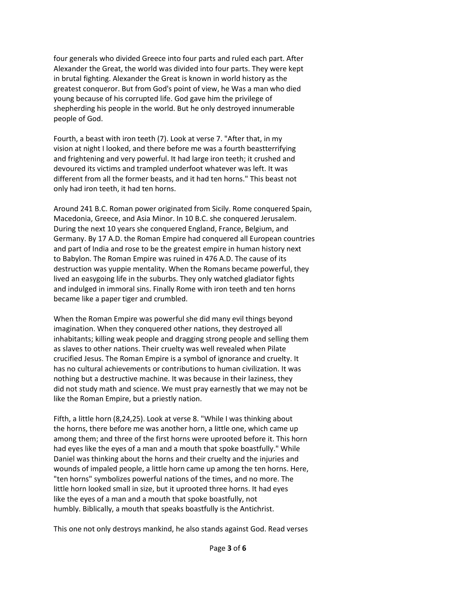four generals who divided Greece into four parts and ruled each part. After Alexander the Great, the world was divided into four parts. They were kept in brutal fighting. Alexander the Great is known in world history as the greatest conqueror. But from God's point of view, he Was a man who died young because of his corrupted life. God gave him the privilege of shepherding his people in the world. But he only destroyed innumerable people of God.

Fourth, a beast with iron teeth (7). Look at verse 7. "After that, in my vision at night I looked, and there before me was a fourth beastterrifying and frightening and very powerful. It had large iron teeth; it crushed and devoured its victims and trampled underfoot whatever was left. It was different from all the former beasts, and it had ten horns." This beast not only had iron teeth, it had ten horns.

Around 241 B.C. Roman power originated from Sicily. Rome conquered Spain, Macedonia, Greece, and Asia Minor. In 10 B.C. she conquered Jerusalem. During the next 10 years she conquered England, France, Belgium, and Germany. By 17 A.D. the Roman Empire had conquered all European countries and part of India and rose to be the greatest empire in human history next to Babylon. The Roman Empire was ruined in 476 A.D. The cause of its destruction was yuppie mentality. When the Romans became powerful, they lived an easygoing life in the suburbs. They only watched gladiator fights and indulged in immoral sins. Finally Rome with iron teeth and ten horns became like a paper tiger and crumbled.

When the Roman Empire was powerful she did many evil things beyond imagination. When they conquered other nations, they destroyed all inhabitants; killing weak people and dragging strong people and selling them as slaves to other nations. Their cruelty was well revealed when Pilate crucified Jesus. The Roman Empire is a symbol of ignorance and cruelty. It has no cultural achievements or contributions to human civilization. It was nothing but a destructive machine. It was because in their laziness, they did not study math and science. We must pray earnestly that we may not be like the Roman Empire, but a priestly nation.

Fifth, a little horn (8,24,25). Look at verse 8. "While I was thinking about the horns, there before me was another horn, a little one, which came up among them; and three of the first horns were uprooted before it. This horn had eyes like the eyes of a man and a mouth that spoke boastfully." While Daniel was thinking about the horns and their cruelty and the injuries and wounds of impaled people, a little horn came up among the ten horns. Here, "ten horns" symbolizes powerful nations of the times, and no more. The little horn looked small in size, but it uprooted three horns. It had eyes like the eyes of a man and a mouth that spoke boastfully, not humbly. Biblically, a mouth that speaks boastfully is the Antichrist.

This one not only destroys mankind, he also stands against God. Read verses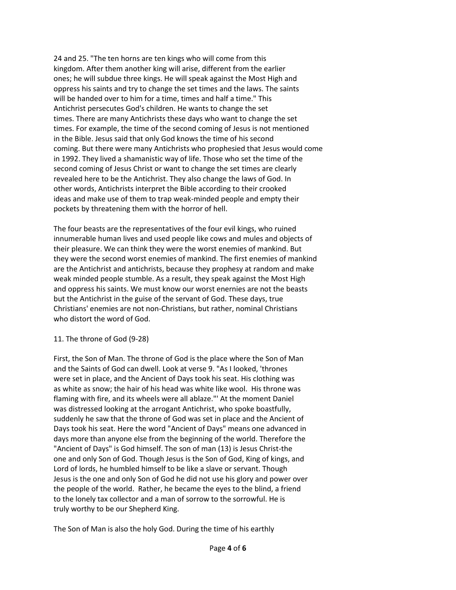24 and 25. "The ten horns are ten kings who will come from this kingdom. After them another king will arise, different from the earlier ones; he will subdue three kings. He will speak against the Most High and oppress his saints and try to change the set times and the laws. The saints will be handed over to him for a time, times and half a time." This Antichrist persecutes God's children. He wants to change the set times. There are many Antichrists these days who want to change the set times. For example, the time of the second coming of Jesus is not mentioned in the Bible. Jesus said that only God knows the time of his second coming. But there were many Antichrists who prophesied that Jesus would come in 1992. They lived a shamanistic way of life. Those who set the time of the second coming of Jesus Christ or want to change the set times are clearly revealed here to be the Antichrist. They also change the laws of God. In other words, Antichrists interpret the Bible according to their crooked ideas and make use of them to trap weak-minded people and empty their pockets by threatening them with the horror of hell.

The four beasts are the representatives of the four evil kings, who ruined innumerable human lives and used people like cows and mules and objects of their pleasure. We can think they were the worst enemies of mankind. But they were the second worst enemies of mankind. The first enemies of mankind are the Antichrist and antichrists, because they prophesy at random and make weak minded people stumble. As a result, they speak against the Most High and oppress his saints. We must know our worst enernies are not the beasts but the Antichrist in the guise of the servant of God. These days, true Christians' enemies are not non-Christians, but rather, nominal Christians who distort the word of God.

## 11. The throne of God (9-28)

First, the Son of Man. The throne of God is the place where the Son of Man and the Saints of God can dwell. Look at verse 9. "As I looked, 'thrones were set in place, and the Ancient of Days took his seat. His clothing was as white as snow; the hair of his head was white like wool. His throne was flaming with fire, and its wheels were all ablaze."' At the moment Daniel was distressed looking at the arrogant Antichrist, who spoke boastfully, suddenly he saw that the throne of God was set in place and the Ancient of Days took his seat. Here the word "Ancient of Days" means one advanced in days more than anyone else from the beginning of the world. Therefore the "Ancient of Days" is God himself. The son of man (13) is Jesus Christ-the one and only Son of God. Though Jesus is the Son of God, King of kings, and Lord of lords, he humbled himself to be like a slave or servant. Though Jesus is the one and only Son of God he did not use his glory and power over the people of the world. Rather, he became the eyes to the blind, a friend to the lonely tax collector and a man of sorrow to the sorrowful. He is truly worthy to be our Shepherd King.

The Son of Man is also the holy God. During the time of his earthly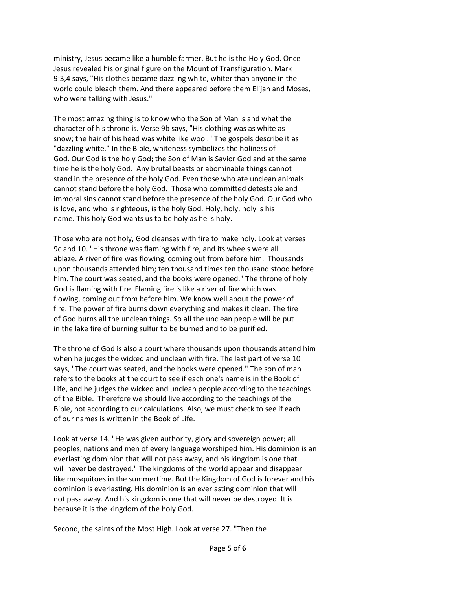ministry, Jesus became like a humble farmer. But he is the Holy God. Once Jesus revealed his original figure on the Mount of Transfiguration. Mark 9:3,4 says, "His clothes became dazzling white, whiter than anyone in the world could bleach them. And there appeared before them Elijah and Moses, who were talking with Jesus."

The most amazing thing is to know who the Son of Man is and what the character of his throne is. Verse 9b says, "His clothing was as white as snow; the hair of his head was white like wool." The gospels describe it as "dazzling white." In the Bible, whiteness symbolizes the holiness of God. Our God is the holy God; the Son of Man is Savior God and at the same time he is the holy God. Any brutal beasts or abominable things cannot stand in the presence of the holy God. Even those who ate unclean animals cannot stand before the holy God. Those who committed detestable and immoral sins cannot stand before the presence of the holy God. Our God who is love, and who is righteous, is the holy God. Holy, holy, holy is his name. This holy God wants us to be holy as he is holy.

Those who are not holy, God cleanses with fire to make holy. Look at verses 9c and 10. "His throne was flaming with fire, and its wheels were all ablaze. A river of fire was flowing, coming out from before him. Thousands upon thousands attended him; ten thousand times ten thousand stood before him. The court was seated, and the books were opened." The throne of holy God is flaming with fire. Flaming fire is like a river of fire which was flowing, coming out from before him. We know well about the power of fire. The power of fire burns down everything and makes it clean. The fire of God burns all the unclean things. So all the unclean people will be put in the lake fire of burning sulfur to be burned and to be purified.

The throne of God is also a court where thousands upon thousands attend him when he judges the wicked and unclean with fire. The last part of verse 10 says, "The court was seated, and the books were opened." The son of man refers to the books at the court to see if each one's name is in the Book of Life, and he judges the wicked and unclean people according to the teachings of the Bible. Therefore we should live according to the teachings of the Bible, not according to our calculations. Also, we must check to see if each of our names is written in the Book of Life.

Look at verse 14. "He was given authority, glory and sovereign power; all peoples, nations and men of every language worshiped him. His dominion is an everlasting dominion that will not pass away, and his kingdom is one that will never be destroyed." The kingdoms of the world appear and disappear like mosquitoes in the summertime. But the Kingdom of God is forever and his dominion is everlasting. His dominion is an everlasting dominion that will not pass away. And his kingdom is one that will never be destroyed. It is because it is the kingdom of the holy God.

Second, the saints of the Most High. Look at verse 27. "Then the